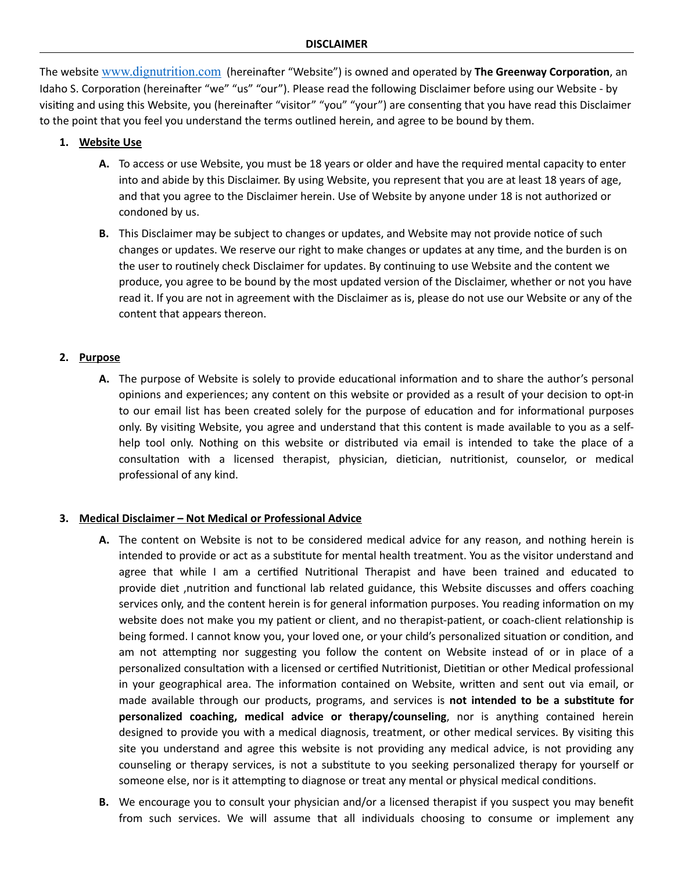The website [www.dignutrition.com](http://www.dignutrition.com) (hereinafter "Website") is owned and operated by **The Greenway Corporation**, an Idaho S. Corporation (hereinafter "we" "us" "our"). Please read the following Disclaimer before using our Website - by visiting and using this Website, you (hereinafter "visitor" "you" "your") are consenting that you have read this Disclaimer to the point that you feel you understand the terms outlined herein, and agree to be bound by them.

### **1. Website Use**

- **A.** To access or use Website, you must be 18 years or older and have the required mental capacity to enter into and abide by this Disclaimer. By using Website, you represent that you are at least 18 years of age, and that you agree to the Disclaimer herein. Use of Website by anyone under 18 is not authorized or condoned by us.
- **B.** This Disclaimer may be subject to changes or updates, and Website may not provide notice of such changes or updates. We reserve our right to make changes or updates at any time, and the burden is on the user to routinely check Disclaimer for updates. By continuing to use Website and the content we produce, you agree to be bound by the most updated version of the Disclaimer, whether or not you have read it. If you are not in agreement with the Disclaimer as is, please do not use our Website or any of the content that appears thereon.

## **2. Purpose**

**A.** The purpose of Website is solely to provide educational information and to share the author's personal opinions and experiences; any content on this website or provided as a result of your decision to opt-in to our email list has been created solely for the purpose of education and for informational purposes only. By visiting Website, you agree and understand that this content is made available to you as a selfhelp tool only. Nothing on this website or distributed via email is intended to take the place of a consultation with a licensed therapist, physician, dietician, nutritionist, counselor, or medical professional of any kind.

### **3. Medical Disclaimer – Not Medical or Professional Advice**

- **A.** The content on Website is not to be considered medical advice for any reason, and nothing herein is intended to provide or act as a substitute for mental health treatment. You as the visitor understand and agree that while I am a certified Nutritional Therapist and have been trained and educated to provide diet ,nutrition and functional lab related guidance, this Website discusses and offers coaching services only, and the content herein is for general information purposes. You reading information on my website does not make you my patient or client, and no therapist-patient, or coach-client relationship is being formed. I cannot know you, your loved one, or your child's personalized situation or condition, and am not attempting nor suggesting you follow the content on Website instead of or in place of a personalized consultation with a licensed or certified Nutritionist, Dietitian or other Medical professional in your geographical area. The information contained on Website, written and sent out via email, or made available through our products, programs, and services is **not intended to be a substitute for personalized coaching, medical advice or therapy/counseling**, nor is anything contained herein designed to provide you with a medical diagnosis, treatment, or other medical services. By visiting this site you understand and agree this website is not providing any medical advice, is not providing any counseling or therapy services, is not a substitute to you seeking personalized therapy for yourself or someone else, nor is it attempting to diagnose or treat any mental or physical medical conditions.
- **B.** We encourage you to consult your physician and/or a licensed therapist if you suspect you may benefit from such services. We will assume that all individuals choosing to consume or implement any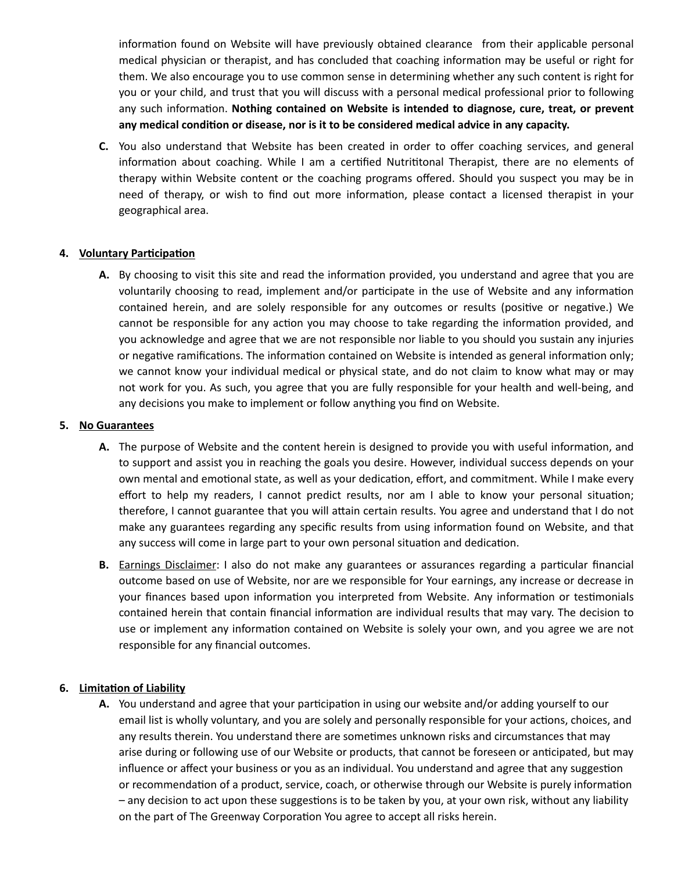information found on Website will have previously obtained clearance from their applicable personal medical physician or therapist, and has concluded that coaching information may be useful or right for them. We also encourage you to use common sense in determining whether any such content is right for you or your child, and trust that you will discuss with a personal medical professional prior to following any such information. **Nothing contained on Website is intended to diagnose, cure, treat, or prevent any medical condition or disease, nor is it to be considered medical advice in any capacity.**

**C.** You also understand that Website has been created in order to offer coaching services, and general information about coaching. While I am a certified Nutrititonal Therapist, there are no elements of therapy within Website content or the coaching programs offered. Should you suspect you may be in need of therapy, or wish to find out more information, please contact a licensed therapist in your geographical area.

### **4. Voluntary Participation**

**A.** By choosing to visit this site and read the information provided, you understand and agree that you are voluntarily choosing to read, implement and/or participate in the use of Website and any information contained herein, and are solely responsible for any outcomes or results (positive or negative.) We cannot be responsible for any action you may choose to take regarding the information provided, and you acknowledge and agree that we are not responsible nor liable to you should you sustain any injuries or negative ramifications. The information contained on Website is intended as general information only; we cannot know your individual medical or physical state, and do not claim to know what may or may not work for you. As such, you agree that you are fully responsible for your health and well-being, and any decisions you make to implement or follow anything you find on Website.

## **5. No Guarantees**

- **A.** The purpose of Website and the content herein is designed to provide you with useful information, and to support and assist you in reaching the goals you desire. However, individual success depends on your own mental and emotional state, as well as your dedication, effort, and commitment. While I make every effort to help my readers, I cannot predict results, nor am I able to know your personal situation; therefore, I cannot guarantee that you will attain certain results. You agree and understand that I do not make any guarantees regarding any specific results from using information found on Website, and that any success will come in large part to your own personal situation and dedication.
- **B.** Earnings Disclaimer: I also do not make any guarantees or assurances regarding a particular financial outcome based on use of Website, nor are we responsible for Your earnings, any increase or decrease in your finances based upon information you interpreted from Website. Any information or testimonials contained herein that contain financial information are individual results that may vary. The decision to use or implement any information contained on Website is solely your own, and you agree we are not responsible for any financial outcomes.

# **6. Limitation of Liability**

**A.** You understand and agree that your participation in using our website and/or adding yourself to our email list is wholly voluntary, and you are solely and personally responsible for your actions, choices, and any results therein. You understand there are sometimes unknown risks and circumstances that may arise during or following use of our Website or products, that cannot be foreseen or anticipated, but may influence or affect your business or you as an individual. You understand and agree that any suggestion or recommendation of a product, service, coach, or otherwise through our Website is purely information – any decision to act upon these suggestions is to be taken by you, at your own risk, without any liability on the part of The Greenway Corporation You agree to accept all risks herein.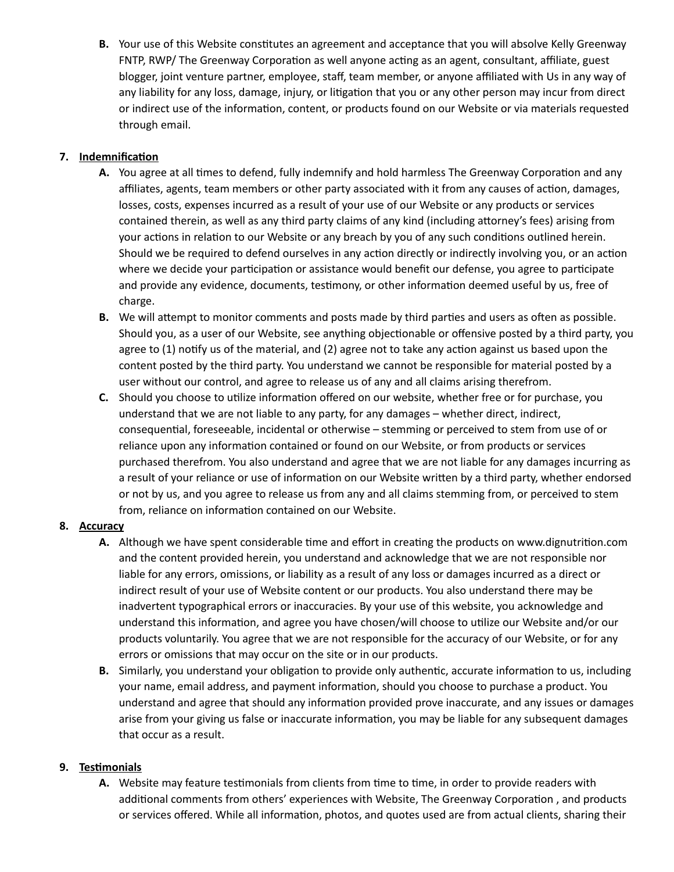**B.** Your use of this Website constitutes an agreement and acceptance that you will absolve Kelly Greenway FNTP, RWP/ The Greenway Corporation as well anyone acting as an agent, consultant, affiliate, guest blogger, joint venture partner, employee, staff, team member, or anyone affiliated with Us in any way of any liability for any loss, damage, injury, or litigation that you or any other person may incur from direct or indirect use of the information, content, or products found on our Website or via materials requested through email.

# **7. Indemnification**

- **A.** You agree at all times to defend, fully indemnify and hold harmless The Greenway Corporation and any affiliates, agents, team members or other party associated with it from any causes of action, damages, losses, costs, expenses incurred as a result of your use of our Website or any products or services contained therein, as well as any third party claims of any kind (including attorney's fees) arising from your actions in relation to our Website or any breach by you of any such conditions outlined herein. Should we be required to defend ourselves in any action directly or indirectly involving you, or an action where we decide your participation or assistance would benefit our defense, you agree to participate and provide any evidence, documents, testimony, or other information deemed useful by us, free of charge.
- **B.** We will attempt to monitor comments and posts made by third parties and users as often as possible. Should you, as a user of our Website, see anything objectionable or offensive posted by a third party, you agree to (1) notify us of the material, and (2) agree not to take any action against us based upon the content posted by the third party. You understand we cannot be responsible for material posted by a user without our control, and agree to release us of any and all claims arising therefrom.
- **C.** Should you choose to utilize information offered on our website, whether free or for purchase, you understand that we are not liable to any party, for any damages – whether direct, indirect, consequential, foreseeable, incidental or otherwise – stemming or perceived to stem from use of or reliance upon any information contained or found on our Website, or from products or services purchased therefrom. You also understand and agree that we are not liable for any damages incurring as a result of your reliance or use of information on our Website written by a third party, whether endorsed or not by us, and you agree to release us from any and all claims stemming from, or perceived to stem from, reliance on information contained on our Website.

# **8. Accuracy**

- **A.** Although we have spent considerable time and effort in creating the products on www.dignutrition.com and the content provided herein, you understand and acknowledge that we are not responsible nor liable for any errors, omissions, or liability as a result of any loss or damages incurred as a direct or indirect result of your use of Website content or our products. You also understand there may be inadvertent typographical errors or inaccuracies. By your use of this website, you acknowledge and understand this information, and agree you have chosen/will choose to utilize our Website and/or our products voluntarily. You agree that we are not responsible for the accuracy of our Website, or for any errors or omissions that may occur on the site or in our products.
- **B.** Similarly, you understand your obligation to provide only authentic, accurate information to us, including your name, email address, and payment information, should you choose to purchase a product. You understand and agree that should any information provided prove inaccurate, and any issues or damages arise from your giving us false or inaccurate information, you may be liable for any subsequent damages that occur as a result.

# **9. Testimonials**

**A.** Website may feature testimonials from clients from time to time, in order to provide readers with additional comments from others' experiences with Website, The Greenway Corporation , and products or services offered. While all information, photos, and quotes used are from actual clients, sharing their